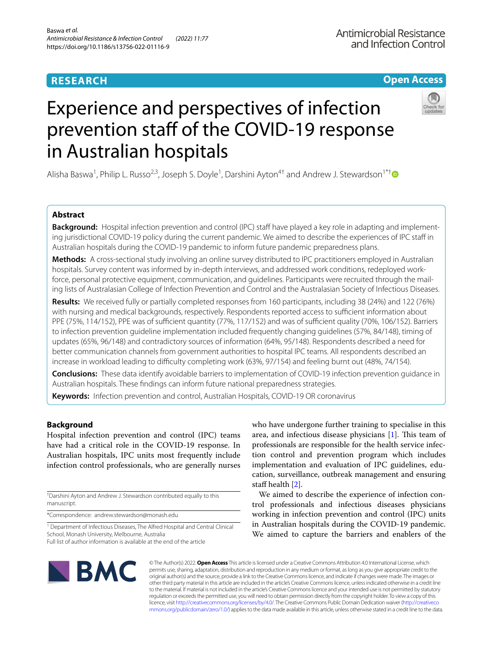# **RESEARCH**

# **Open Access**

# Experience and perspectives of infection prevention staff of the COVID-19 response in Australian hospitals

Alisha Baswa<sup>1</sup>, Philip L. Russo<sup>2,3</sup>, Joseph S. Doyle<sup>1</sup>, Darshini Ayton<sup>4†</sup> and Andrew J. Stewardson<sup>1\*†</sup>

# **Abstract**

**Background:** Hospital infection prevention and control (IPC) staff have played a key role in adapting and implementing jurisdictional COVID-19 policy during the current pandemic. We aimed to describe the experiences of IPC staff in Australian hospitals during the COVID-19 pandemic to inform future pandemic preparedness plans.

**Methods:** A cross-sectional study involving an online survey distributed to IPC practitioners employed in Australian hospitals. Survey content was informed by in-depth interviews, and addressed work conditions, redeployed workforce, personal protective equipment, communication, and guidelines. Participants were recruited through the mailing lists of Australasian College of Infection Prevention and Control and the Australasian Society of Infectious Diseases.

**Results:** We received fully or partially completed responses from 160 participants, including 38 (24%) and 122 (76%) with nursing and medical backgrounds, respectively. Respondents reported access to sufficient information about PPE (75%, 114/152), PPE was of sufficient quantity (77%, 117/152) and was of sufficient quality (70%, 106/152). Barriers to infection prevention guideline implementation included frequently changing guidelines (57%, 84/148), timing of updates (65%, 96/148) and contradictory sources of information (64%, 95/148). Respondents described a need for better communication channels from government authorities to hospital IPC teams. All respondents described an increase in workload leading to difficulty completing work (63%, 97/154) and feeling burnt out (48%, 74/154).

**Conclusions:** These data identify avoidable barriers to implementation of COVID-19 infection prevention guidance in Australian hospitals. These fndings can inform future national preparedness strategies.

**Keywords:** Infection prevention and control, Australian Hospitals, COVID-19 OR coronavirus

# **Background**

Hospital infection prevention and control (IPC) teams have had a critical role in the COVID-19 response. In Australian hospitals, IPC units most frequently include infection control professionals, who are generally nurses

† Darshini Ayton and Andrew J. Stewardson contributed equally to this manuscript.

\*Correspondence: andrew.stewardson@monash.edu

<sup>1</sup> Department of Infectious Diseases, The Alfred Hospital and Central Clinical School, Monash University, Melbourne, Australia Full list of author information is available at the end of the article

who have undergone further training to specialise in this area, and infectious disease physicians  $[1]$  $[1]$ . This team of professionals are responsible for the health service infection control and prevention program which includes implementation and evaluation of IPC guidelines, education, surveillance, outbreak management and ensuring staff health  $[2]$  $[2]$ .

We aimed to describe the experience of infection control professionals and infectious diseases physicians working in infection prevention and control (IPC) units in Australian hospitals during the COVID-19 pandemic. We aimed to capture the barriers and enablers of the



© The Author(s) 2022. **Open Access** This article is licensed under a Creative Commons Attribution 4.0 International License, which permits use, sharing, adaptation, distribution and reproduction in any medium or format, as long as you give appropriate credit to the original author(s) and the source, provide a link to the Creative Commons licence, and indicate if changes were made. The images or other third party material in this article are included in the article's Creative Commons licence, unless indicated otherwise in a credit line to the material. If material is not included in the article's Creative Commons licence and your intended use is not permitted by statutory regulation or exceeds the permitted use, you will need to obtain permission directly from the copyright holder. To view a copy of this licence, visit [http://creativecommons.org/licenses/by/4.0/.](http://creativecommons.org/licenses/by/4.0/) The Creative Commons Public Domain Dedication waiver ([http://creativeco](http://creativecommons.org/publicdomain/zero/1.0/) [mmons.org/publicdomain/zero/1.0/](http://creativecommons.org/publicdomain/zero/1.0/)) applies to the data made available in this article, unless otherwise stated in a credit line to the data.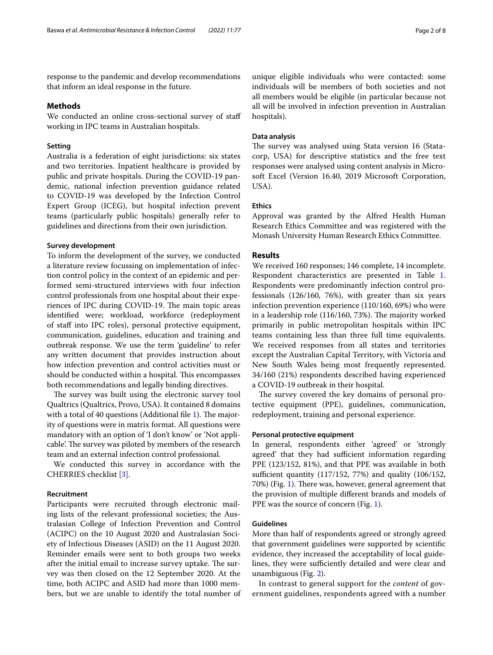response to the pandemic and develop recommendations that inform an ideal response in the future.

# **Methods**

We conducted an online cross-sectional survey of staff working in IPC teams in Australian hospitals.

# **Setting**

Australia is a federation of eight jurisdictions: six states and two territories. Inpatient healthcare is provided by public and private hospitals. During the COVID-19 pandemic, national infection prevention guidance related to COVID-19 was developed by the Infection Control Expert Group (ICEG), but hospital infection prevent teams (particularly public hospitals) generally refer to guidelines and directions from their own jurisdiction.

#### **Survey development**

To inform the development of the survey, we conducted a literature review focussing on implementation of infection control policy in the context of an epidemic and performed semi-structured interviews with four infection control professionals from one hospital about their experiences of IPC during COVID-19. The main topic areas identifed were; workload, workforce (redeployment of staff into IPC roles), personal protective equipment, communication, guidelines, education and training and outbreak response. We use the term 'guideline' to refer any written document that provides instruction about how infection prevention and control activities must or should be conducted within a hospital. This encompasses both recommendations and legally binding directives.

The survey was built using the electronic survey tool Qualtrics (Qualtrics, Provo, USA). It contained 8 domains with a total of 40 questions (Additional file  $1$ ). The majority of questions were in matrix format. All questions were mandatory with an option of 'I don't know' or 'Not applicable'. The survey was piloted by members of the research team and an external infection control professional.

We conducted this survey in accordance with the CHERRIES checklist [[3\]](#page-7-2).

# **Recruitment**

Participants were recruited through electronic mailing lists of the relevant professional societies; the Australasian College of Infection Prevention and Control (ACIPC) on the 10 August 2020 and Australasian Society of Infectious Diseases (ASID) on the 11 August 2020. Reminder emails were sent to both groups two weeks after the initial email to increase survey uptake. The survey was then closed on the 12 September 2020. At the time, both ACIPC and ASID had more than 1000 members, but we are unable to identify the total number of

unique eligible individuals who were contacted: some individuals will be members of both societies and not all members would be eligible (in particular because not all will be involved in infection prevention in Australian hospitals).

# **Data analysis**

The survey was analysed using Stata version 16 (Statacorp, USA) for descriptive statistics and the free text responses were analysed using content analysis in Microsoft Excel (Version 16.40, 2019 Microsoft Corporation, USA).

# **Ethics**

Approval was granted by the Alfred Health Human Research Ethics Committee and was registered with the Monash University Human Research Ethics Committee.

# **Results**

We received 160 responses; 146 complete, 14 incomplete. Respondent characteristics are presented in Table [1](#page-2-0). Respondents were predominantly infection control professionals (126/160, 76%), with greater than six years infection prevention experience (110/160, 69%) who were in a leadership role  $(116/160, 73%)$ . The majority worked primarily in public metropolitan hospitals within IPC teams containing less than three full time equivalents. We received responses from all states and territories except the Australian Capital Territory, with Victoria and New South Wales being most frequently represented. 34/160 (21%) respondents described having experienced a COVID-19 outbreak in their hospital.

The survey covered the key domains of personal protective equipment (PPE), guidelines, communication, redeployment, training and personal experience.

# **Personal protective equipment**

In general, respondents either 'agreed' or 'strongly agreed' that they had sufficient information regarding PPE (123/152, 81%), and that PPE was available in both sufficient quantity  $(117/152, 77%)$  and quality  $(106/152,$ 70%) (Fig. [1](#page-3-0)). There was, however, general agreement that the provision of multiple diferent brands and models of PPE was the source of concern (Fig. [1\)](#page-3-0).

## **Guidelines**

More than half of respondents agreed or strongly agreed that government guidelines were supported by scientifc evidence, they increased the acceptability of local guidelines, they were sufficiently detailed and were clear and unambiguous (Fig. [2\)](#page-3-1).

In contrast to general support for the *content* of government guidelines, respondents agreed with a number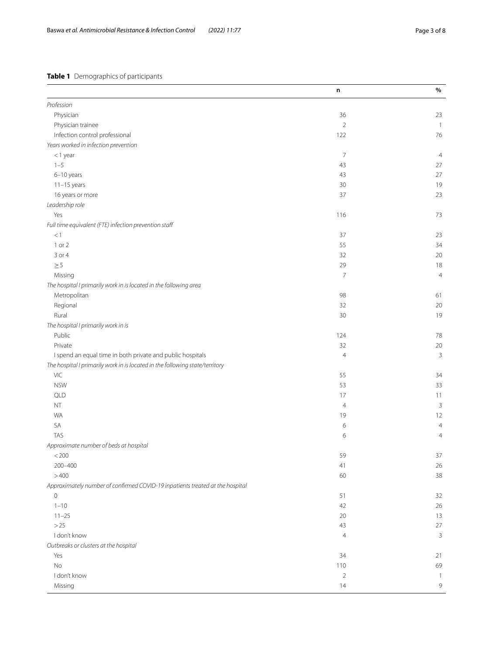# <span id="page-2-0"></span>**Table 1** Demographics of participants

|                                                                               | n              | $\%$           |
|-------------------------------------------------------------------------------|----------------|----------------|
| Profession                                                                    |                |                |
| Physician                                                                     | 36             | 23             |
| Physician trainee                                                             | $\overline{2}$ | $\overline{1}$ |
| Infection control professional                                                | 122            | 76             |
| Years worked in infection prevention                                          |                |                |
| $<$ 1 year                                                                    | 7              | $\overline{4}$ |
| $1 - 5$                                                                       | 43             | 27             |
| 6-10 years                                                                    | 43             | 27             |
| $11-15$ years                                                                 | 30             | 19             |
| 16 years or more                                                              | 37             | 23             |
| Leadership role                                                               |                |                |
| Yes                                                                           | 116            | 73             |
| Full time equivalent (FTE) infection prevention staff                         |                |                |
| $<1\,$                                                                        | 37             | 23             |
| 1 or 2                                                                        | 55             | 34             |
| 3 or 4                                                                        | 32             | 20             |
| $\geq 5$                                                                      | 29             | $18\,$         |
| Missing                                                                       | 7              | $\overline{4}$ |
| The hospital I primarily work in is located in the following area             |                |                |
| Metropolitan                                                                  | 98             | 61             |
| Regional                                                                      | 32             | 20             |
| Rural                                                                         | 30             | 19             |
| The hospital I primarily work in is                                           |                |                |
| Public                                                                        | 124            | $78\,$         |
| Private                                                                       | 32             | $20\,$         |
| I spend an equal time in both private and public hospitals                    | 4              | $\mathbf{3}$   |
| The hospital I primarily work in is located in the following state/territory  |                |                |
| VIC                                                                           | 55             | 34             |
| <b>NSW</b>                                                                    | 53             | 33             |
| QLD                                                                           | 17             | 11             |
| $\mathsf{NT}$                                                                 | $\overline{4}$ | $\mathsf{3}$   |
| <b>WA</b>                                                                     | 19             | 12             |
| SA                                                                            | 6              | $\overline{4}$ |
| <b>TAS</b>                                                                    | 6              | $\overline{4}$ |
| Approximate number of beds at hospital                                        |                |                |
| $<\!200$                                                                      | 59             | $37\,$         |
| 200-400                                                                       | 41             | 26             |
| >400                                                                          | 60             | 38             |
| Approximately number of confirmed COVID-19 inpatients treated at the hospital |                |                |
| 0                                                                             | 51             | 32             |
| $1 - 10$                                                                      | 42             | 26             |
| $11 - 25$                                                                     | 20             | 13             |
| $>25$                                                                         | 43             | 27             |
| I don't know                                                                  | $\overline{4}$ | $\mathbf{3}$   |
| Outbreaks or clusters at the hospital                                         |                |                |
| Yes                                                                           | 34             | 21             |
| $\rm No$                                                                      | 110            | 69             |
| I don't know                                                                  | $\overline{2}$ | $\overline{1}$ |
| Missing                                                                       | 14             | $\overline{9}$ |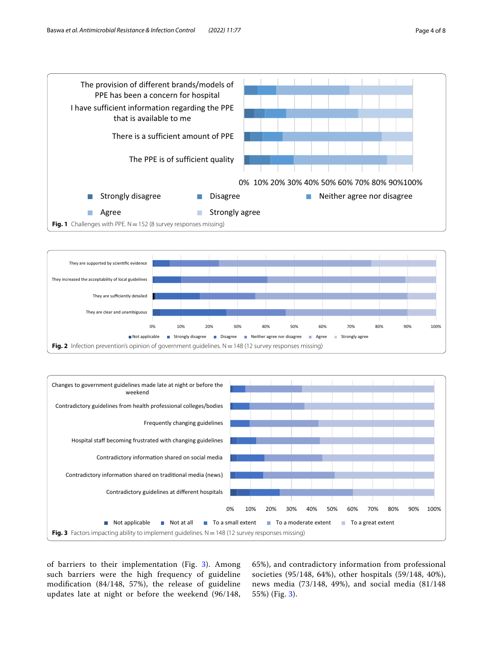

<span id="page-3-0"></span>

<span id="page-3-1"></span>

<span id="page-3-2"></span>of barriers to their implementation (Fig. [3\)](#page-3-2). Among such barriers were the high frequency of guideline modifcation (84/148, 57%), the release of guideline updates late at night or before the weekend (96/148,

65%), and contradictory information from professional societies (95/148, 64%), other hospitals (59/148, 40%), news media (73/148, 49%), and social media (81/148 55%) (Fig. [3\)](#page-3-2).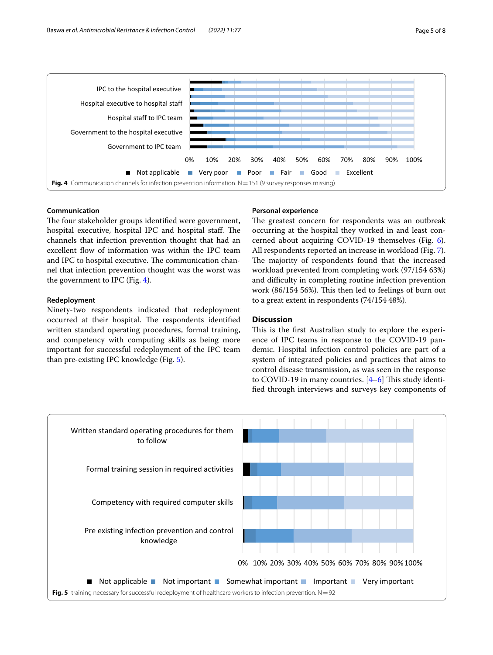

# <span id="page-4-0"></span>**Communication**

The four stakeholder groups identified were government, hospital executive, hospital IPC and hospital staff. The channels that infection prevention thought that had an excellent fow of information was within the IPC team and IPC to hospital executive. The communication channel that infection prevention thought was the worst was the government to IPC (Fig. [4\)](#page-4-0).

# **Redeployment**

Ninety-two respondents indicated that redeployment occurred at their hospital. The respondents identified written standard operating procedures, formal training, and competency with computing skills as being more important for successful redeployment of the IPC team than pre-existing IPC knowledge (Fig. [5](#page-4-1)).

# **Personal experience**

The greatest concern for respondents was an outbreak occurring at the hospital they worked in and least concerned about acquiring COVID-19 themselves (Fig. [6](#page-5-0)). All respondents reported an increase in workload (Fig. [7](#page-5-1)). The majority of respondents found that the increased workload prevented from completing work (97/154 63%) and difficulty in completing routine infection prevention work  $(86/154 56%)$ . This then led to feelings of burn out to a great extent in respondents (74/154 48%).

# **Discussion**

This is the first Australian study to explore the experience of IPC teams in response to the COVID-19 pandemic. Hospital infection control policies are part of a system of integrated policies and practices that aims to control disease transmission, as was seen in the response to COVID-19 in many countries.  $[4-6]$  $[4-6]$  This study identifed through interviews and surveys key components of

<span id="page-4-1"></span>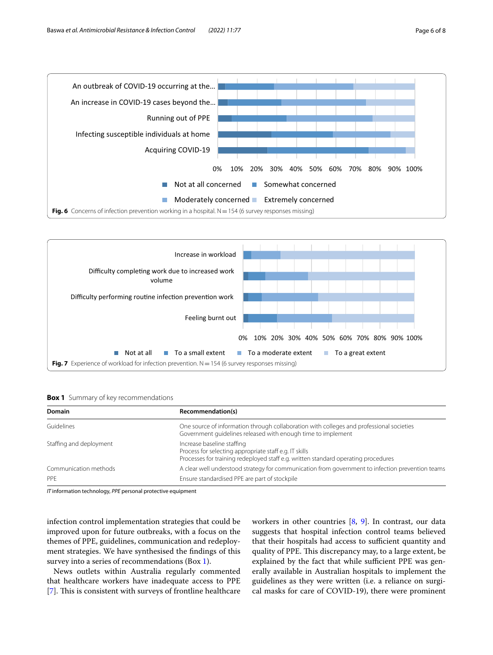

<span id="page-5-0"></span>

<span id="page-5-2"></span><span id="page-5-1"></span>**Box 1** Summary of key recommendations

| <b>Domain</b>           | Recommendation(s)                                                                                                                                                          |  |
|-------------------------|----------------------------------------------------------------------------------------------------------------------------------------------------------------------------|--|
| Guidelines              | One source of information through collaboration with colleges and professional societies<br>Government quidelines released with enough time to implement                   |  |
| Staffing and deployment | Increase baseline staffing<br>Process for selecting appropriate staff e.g. IT skills<br>Processes for training redeployed staff e.g. written standard operating procedures |  |
| Communication methods   | A clear well understood strategy for communication from government to infection prevention teams                                                                           |  |
| PPE                     | Ensure standardised PPE are part of stockpile                                                                                                                              |  |

*IT* information technology, *PPE* personal protective equipment

infection control implementation strategies that could be improved upon for future outbreaks, with a focus on the themes of PPE, guidelines, communication and redeployment strategies. We have synthesised the fndings of this survey into a series of recommendations (Box [1\)](#page-5-2).

News outlets within Australia regularly commented that healthcare workers have inadequate access to PPE [[7\]](#page-7-5). This is consistent with surveys of frontline healthcare workers in other countries [[8,](#page-7-6) [9\]](#page-7-7). In contrast, our data suggests that hospital infection control teams believed that their hospitals had access to sufficient quantity and quality of PPE. This discrepancy may, to a large extent, be explained by the fact that while sufficient PPE was generally available in Australian hospitals to implement the guidelines as they were written (i.e. a reliance on surgical masks for care of COVID-19), there were prominent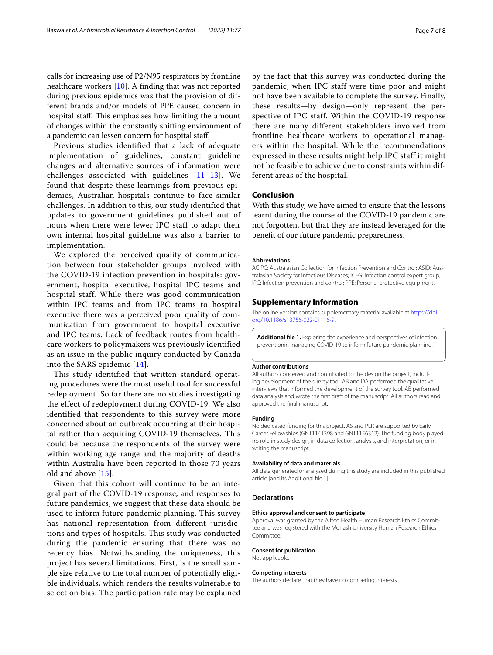calls for increasing use of P2/N95 respirators by frontline healthcare workers [[10\]](#page-7-8). A fnding that was not reported during previous epidemics was that the provision of different brands and/or models of PPE caused concern in hospital staff. This emphasises how limiting the amount of changes within the constantly shifting environment of a pandemic can lessen concern for hospital staf.

Previous studies identified that a lack of adequate implementation of guidelines, constant guideline changes and alternative sources of information were challenges associated with guidelines  $[11-13]$  $[11-13]$  $[11-13]$ . We found that despite these learnings from previous epidemics, Australian hospitals continue to face similar challenges. In addition to this, our study identified that updates to government guidelines published out of hours when there were fewer IPC staff to adapt their own internal hospital guideline was also a barrier to implementation.

We explored the perceived quality of communication between four stakeholder groups involved with the COVID-19 infection prevention in hospitals: government, hospital executive, hospital IPC teams and hospital staff. While there was good communication within IPC teams and from IPC teams to hospital executive there was a perceived poor quality of communication from government to hospital executive and IPC teams. Lack of feedback routes from healthcare workers to policymakers was previously identified as an issue in the public inquiry conducted by Canada into the SARS epidemic [[14](#page-7-11)].

This study identified that written standard operating procedures were the most useful tool for successful redeployment. So far there are no studies investigating the effect of redeployment during COVID-19. We also identified that respondents to this survey were more concerned about an outbreak occurring at their hospital rather than acquiring COVID-19 themselves. This could be because the respondents of the survey were within working age range and the majority of deaths within Australia have been reported in those 70 years old and above [[15\]](#page-7-12).

Given that this cohort will continue to be an integral part of the COVID-19 response, and responses to future pandemics, we suggest that these data should be used to inform future pandemic planning. This survey has national representation from different jurisdictions and types of hospitals. This study was conducted during the pandemic ensuring that there was no recency bias. Notwithstanding the uniqueness, this project has several limitations. First, is the small sample size relative to the total number of potentially eligible individuals, which renders the results vulnerable to selection bias. The participation rate may be explained

by the fact that this survey was conducted during the pandemic, when IPC staff were time poor and might not have been available to complete the survey. Finally, these results—by design—only represent the perspective of IPC staff. Within the COVID-19 response there are many different stakeholders involved from frontline healthcare workers to operational managers within the hospital. While the recommendations expressed in these results might help IPC staff it might not be feasible to achieve due to constraints within different areas of the hospital.

# **Conclusion**

With this study, we have aimed to ensure that the lessons learnt during the course of the COVID-19 pandemic are not forgotten, but that they are instead leveraged for the beneft of our future pandemic preparedness.

#### **Abbreviations**

ACIPC: Australasian Collection for Infection Prevention and Control; ASID: Australasian Society for Infectious Diseases; ICEG: Infection control expert group; IPC: Infection prevention and control; PPE: Personal protective equipment.

# **Supplementary Information**

The online version contains supplementary material available at [https://doi.](https://doi.org/10.1186/s13756-022-01116-9) [org/10.1186/s13756-022-01116-9](https://doi.org/10.1186/s13756-022-01116-9).

<span id="page-6-0"></span>**Additional fle 1.** Exploring the experience and perspectives of infection preventionin managing COVID-19 to inform future pandemic planning.

#### **Author contributions**

All authors conceived and contributed to the design the project, including development of the survey tool. AB and DA performed the qualitative interviews that informed the development of the survey tool. AB performed data analysis and wrote the frst draft of the manuscript. All authors read and approved the fnal manuscript.

#### **Funding**

No dedicated funding for this project. AS and PLR are supported by Early Career Fellowships (GNT1141398 and GNT1156312). The funding body played no role in study design, in data collection, analysis, and interpretation, or in writing the manuscript.

#### **Availability of data and materials**

All data generated or analysed during this study are included in this published article [and its Additional fle [1\]](#page-6-0).

# **Declarations**

#### **Ethics approval and consent to participate**

Approval was granted by the Alfred Health Human Research Ethics Committee and was registered with the Monash University Human Research Ethics **Committee** 

#### **Consent for publication**

Not applicable.

#### **Competing interests**

The authors declare that they have no competing interests.